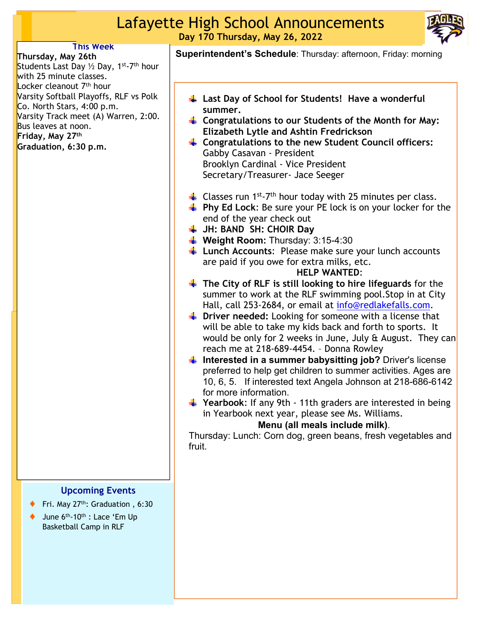## Lafayette High School Announcements **Day 170 Thursday, May 26, 2022**



### **This Week**

**Thursday, May 26th**  Students Last Day 1/2 Day, 1<sup>st</sup>-7<sup>th</sup> hour with 25 minute classes. Locker cleanout 7<sup>th</sup> hour Varsity Softball Playoffs, RLF vs Polk Co. North Stars, 4:00 p.m. Varsity Track meet (A) Warren, 2:00. Bus leaves at noon. **Friday, May 27th Graduation, 6:30 p.m.**

#### **Upcoming Events**

- Fri. May  $27<sup>th</sup>$ : Graduation , 6:30
- $\blacklozenge$  June 6<sup>th</sup>-10<sup>th</sup> : Lace 'Em Up Basketball Camp in RLF

**Superintendent's Schedule**: Thursday: afternoon, Friday: morning

- **Last Day of School for Students! Have a wonderful summer.**
- **Congratulations to our Students of the Month for May: Elizabeth Lytle and Ashtin Fredrickson**
- **Congratulations to the new Student Council officers:** Gabby Casavan - President Brooklyn Cardinal - Vice President Secretary/Treasurer- Jace Seeger
- $\downarrow$  Classes run 1<sup>st</sup>-7<sup>th</sup> hour today with 25 minutes per class.
- **Phy Ed Lock:** Be sure your PE lock is on your locker for the end of the year check out
- **JH: BAND SH: CHOIR Day**
- Weight Room: Thursday: 3:15-4:30
- **Lunch Accounts:** Please make sure your lunch accounts are paid if you owe for extra milks, etc.

#### **HELP WANTED**:

- **The City of RLF is still looking to hire lifeguards** for the summer to work at the RLF swimming pool.Stop in at City Hall, call 253-2684, or email at info@redlakefalls.com.
- **Driver needed:** Looking for someone with a license that will be able to take my kids back and forth to sports. It would be only for 2 weeks in June, July & August. They can reach me at 218-689-4454. – Donna Rowley
- $\frac{1}{2}$  Interested in a summer babysitting job? Driver's license preferred to help get children to summer activities. Ages are 10, 6, 5. If interested text Angela Johnson at 218-686-6142 for more information.
- **Formular** Yearbook: If any 9th 11th graders are interested in being in Yearbook next year, please see Ms. Williams.

### **Menu (all meals include milk)**.

Thursday: Lunch: Corn dog, green beans, fresh vegetables and fruit.